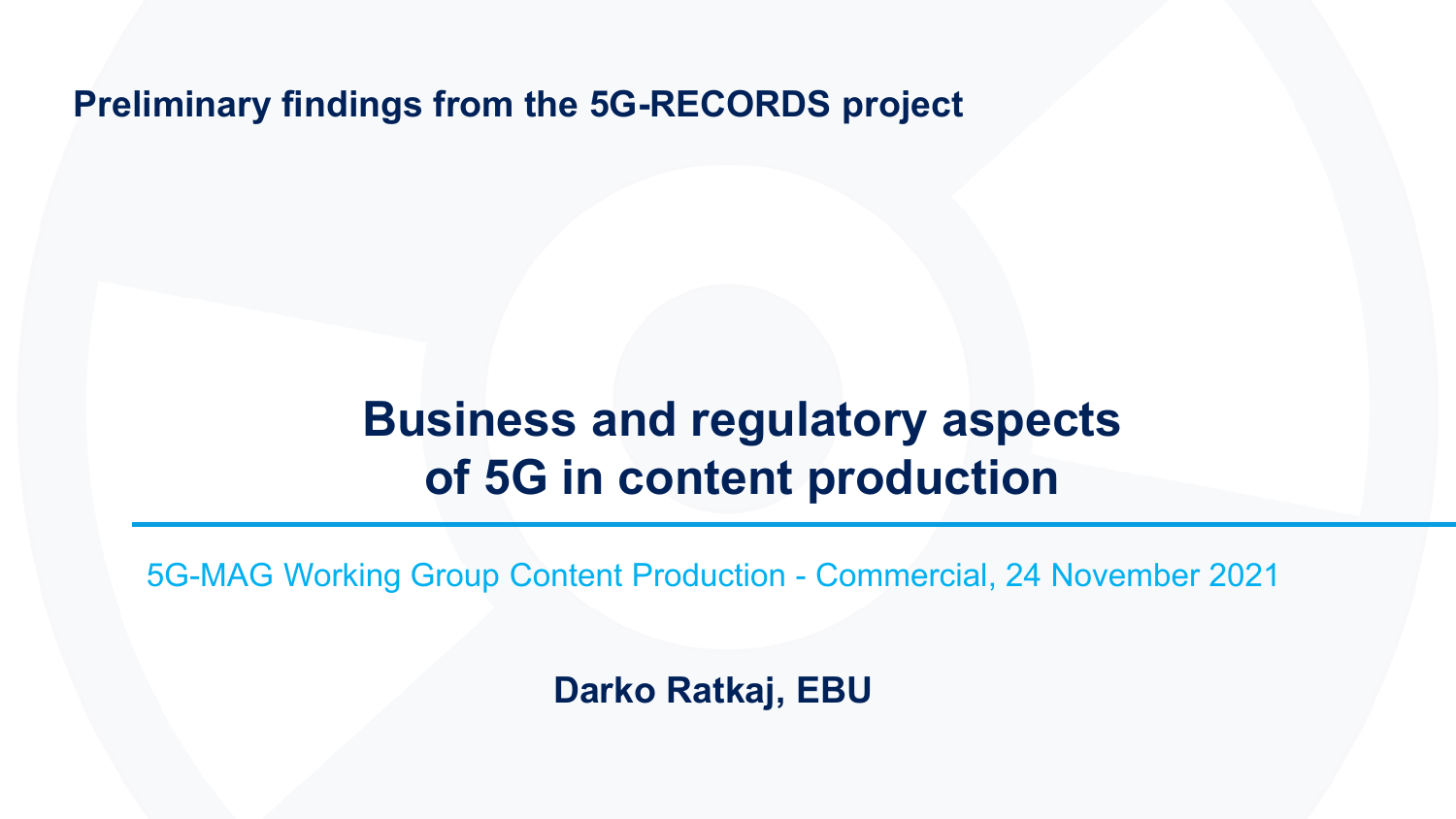**Preliminary findings from the 5G-RECORDS project**

### **Business and regulatory aspects of 5G in content production**

5G-MAG Working Group Content Production - Commercial, 24 November 2021

**Darko Ratkaj, EBU**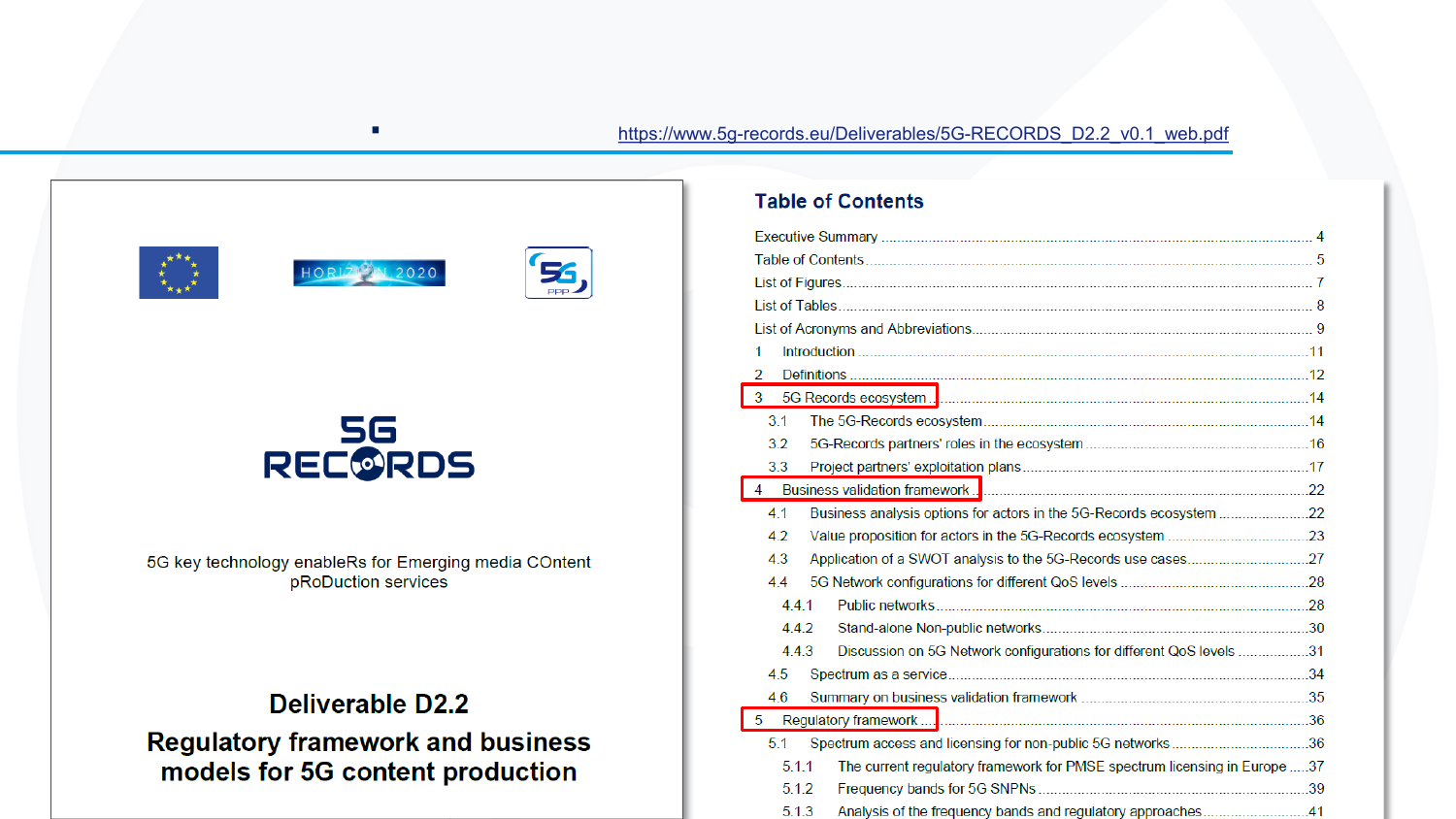



54

DDD.



5G key technology enableRs for Emerging media COntent pRoDuction services

### Deliverable D2.2 **Regulatory framework and business** models for 5G content production

#### **Table of Contents**

| 1                                                                                |  |
|----------------------------------------------------------------------------------|--|
| $\overline{2}$                                                                   |  |
| 3                                                                                |  |
| 3.1                                                                              |  |
| 3.2                                                                              |  |
| 3.3                                                                              |  |
| $\overline{4}$                                                                   |  |
| Business analysis options for actors in the 5G-Records ecosystem<br>4.1          |  |
| 42                                                                               |  |
| 4.3                                                                              |  |
| 4.4                                                                              |  |
| 441                                                                              |  |
| 4.4.2                                                                            |  |
| Discussion on 5G Network configurations for different QoS levels 31<br>4.4.3     |  |
| 4.5                                                                              |  |
| 4.6                                                                              |  |
| 5                                                                                |  |
| 51<br>Spectrum access and licensing for non-public 5G networks36                 |  |
| 511<br>The current regulatory framework for PMSE spectrum licensing in Europe 37 |  |
| 512                                                                              |  |
| Analysis of the frequency bands and regulatory approaches41<br>5.1.3             |  |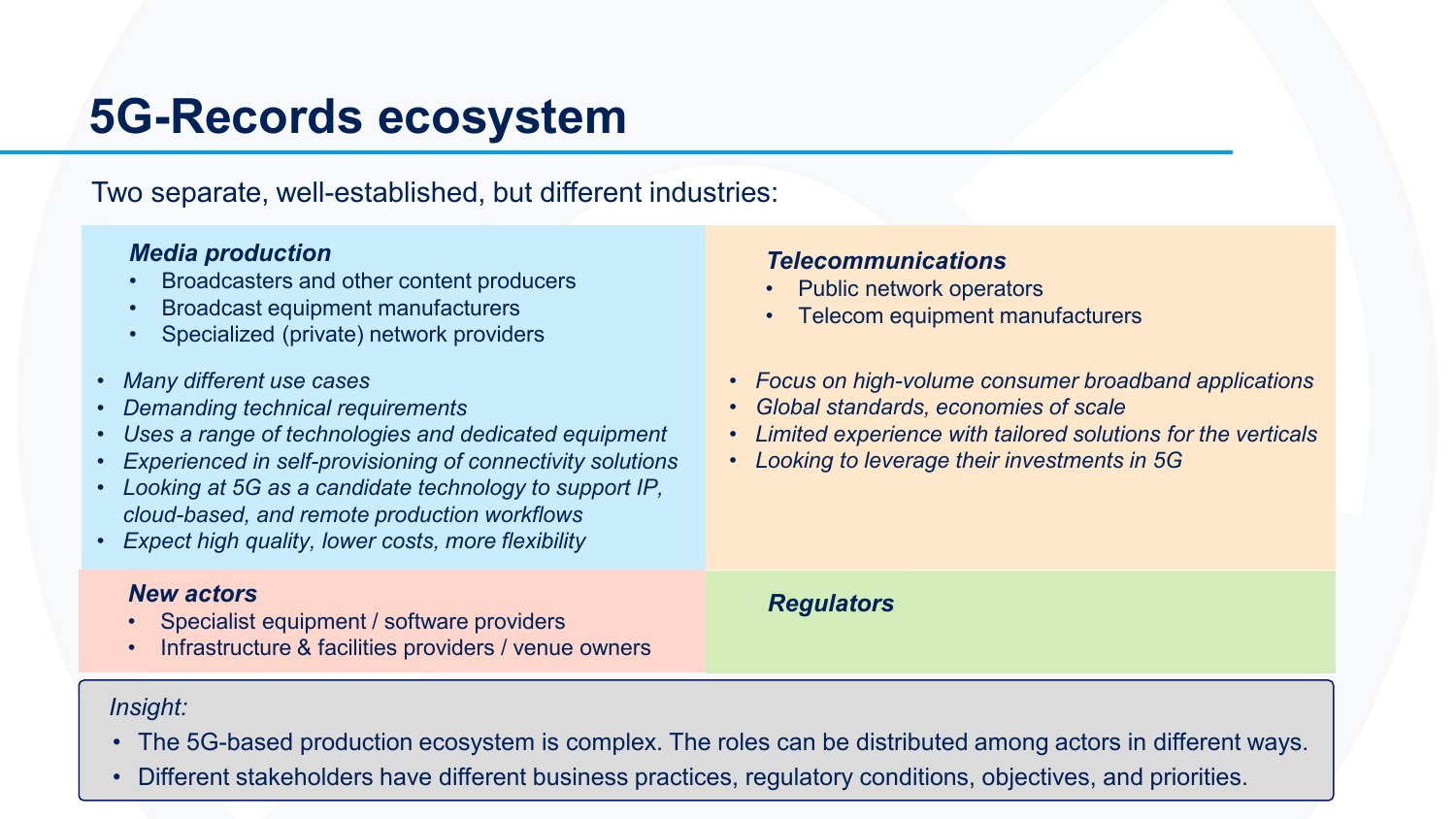### **5G-Records ecosystem**

Two separate, well-established, but different industries:

#### *Media production*

- Broadcasters and other content producers
- Broadcast equipment manufacturers
- Specialized (private) network providers
- *Many different use cases*
- *Demanding technical requirements*
- *Uses a range of technologies and dedicated equipment*
- *Experienced in self-provisioning of connectivity solutions*
- *Looking at 5G as a candidate technology to support IP, cloud-based, and remote production workflows*
- *Expect high quality, lower costs, more flexibility*

#### *New actors*

- Specialist equipment / software providers
- Infrastructure & facilities providers / venue owners

#### *Telecommunications*

- Public network operators
- Telecom equipment manufacturers
- *Focus on high-volume consumer broadband applications*
- *Global standards, economies of scale*
- *Limited experience with tailored solutions for the verticals*
- *Looking to leverage their investments in 5G*

*Regulators*

#### *Insight:*

- The 5G-based production ecosystem is complex. The roles can be distributed among actors in different ways.
- Different stakeholders have different business practices, regulatory conditions, objectives, and priorities.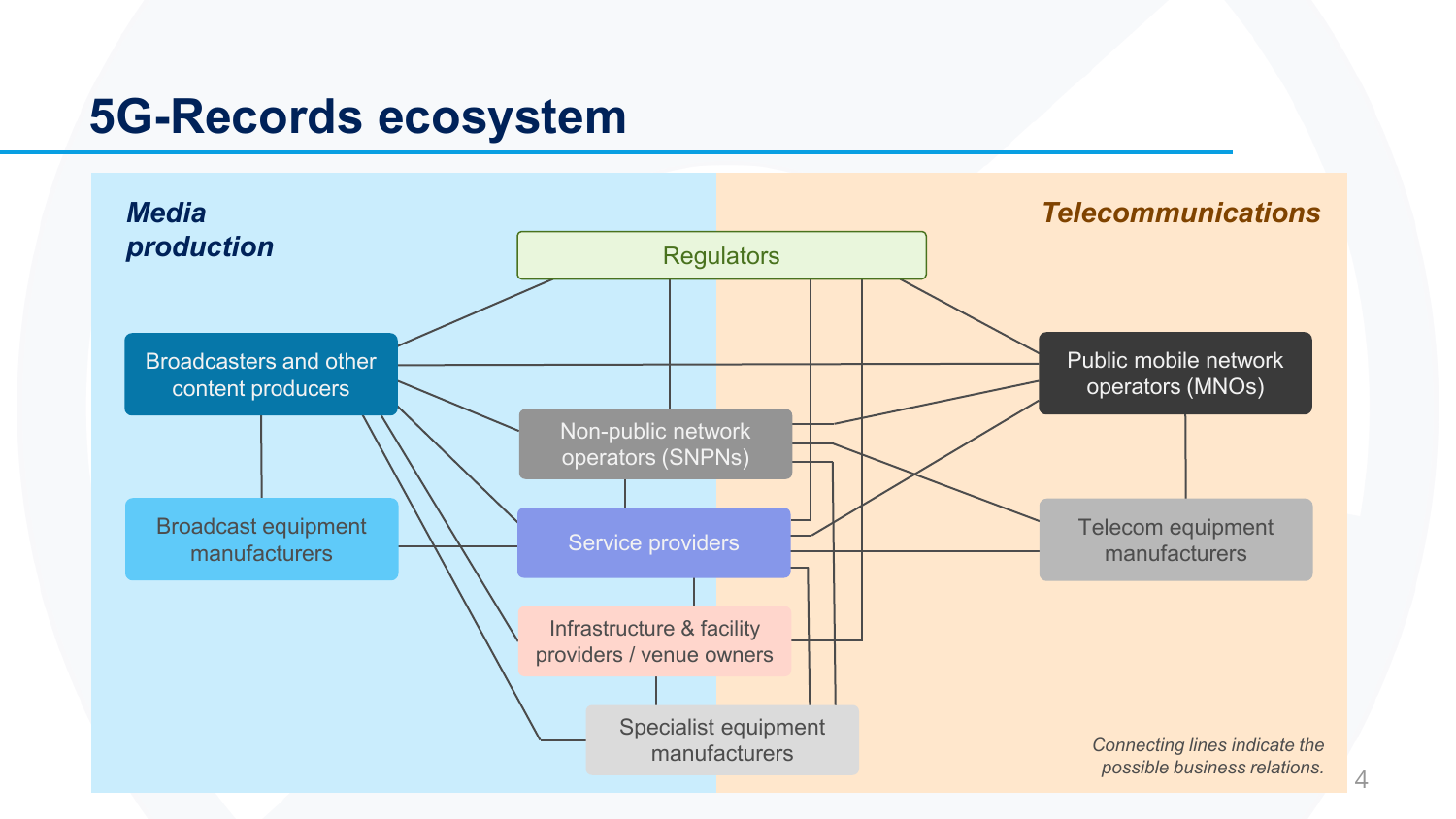### **5G-Records ecosystem**

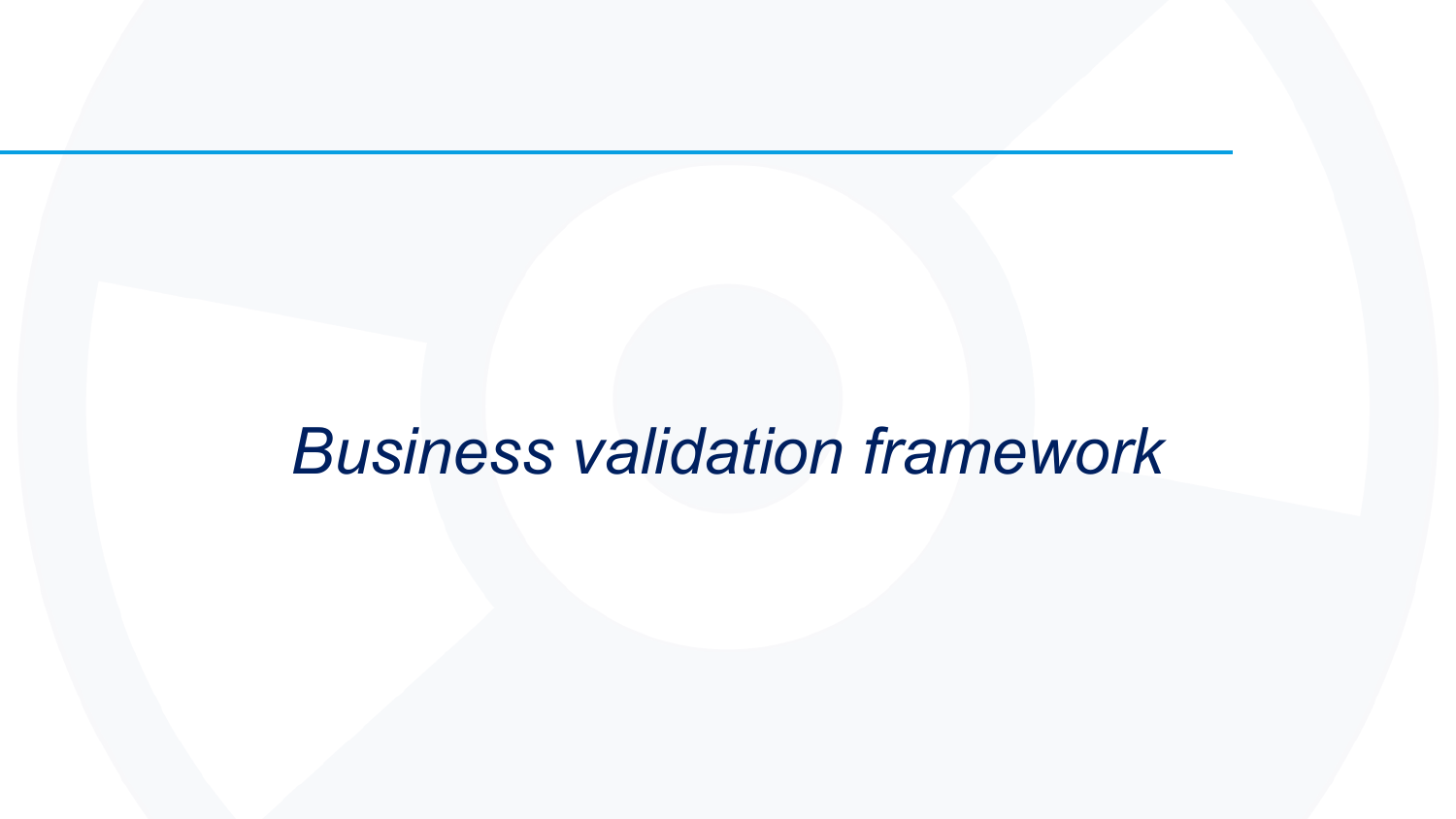## *Business validation framework*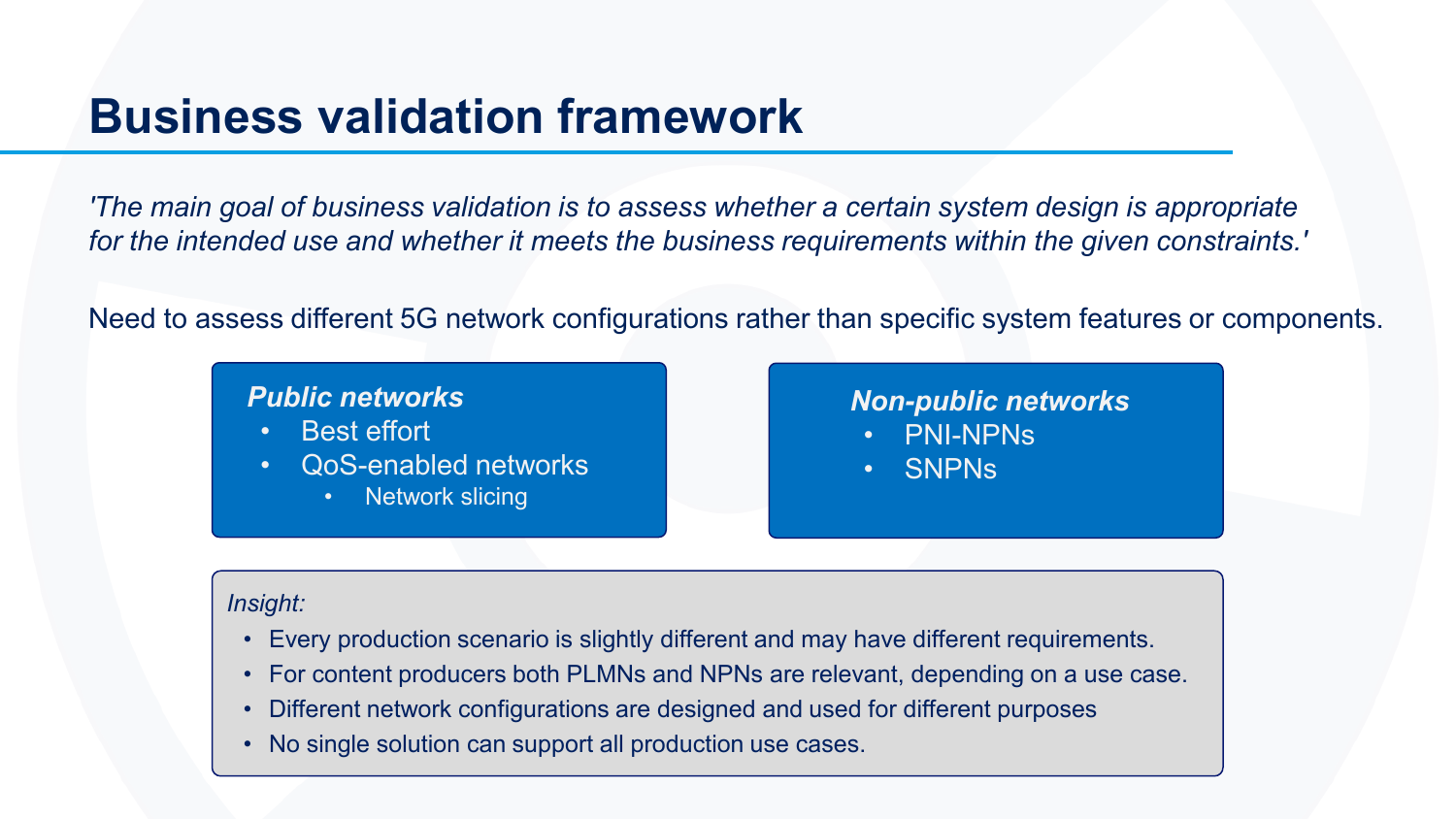### **Business validation framework**

*'The main goal of business validation is to assess whether a certain system design is appropriate for the intended use and whether it meets the business requirements within the given constraints.'*

Need to assess different 5G network configurations rather than specific system features or components.

#### *Public networks*

- Best effort
- QoS-enabled networks
	- **Network slicing**

#### *Non-public networks* • PNI-NPNs

• SNPNs

#### *Insight:*

- Every production scenario is slightly different and may have different requirements.
- For content producers both PLMNs and NPNs are relevant, depending on a use case.
- Different network configurations are designed and used for different purposes
- No single solution can support all production use cases.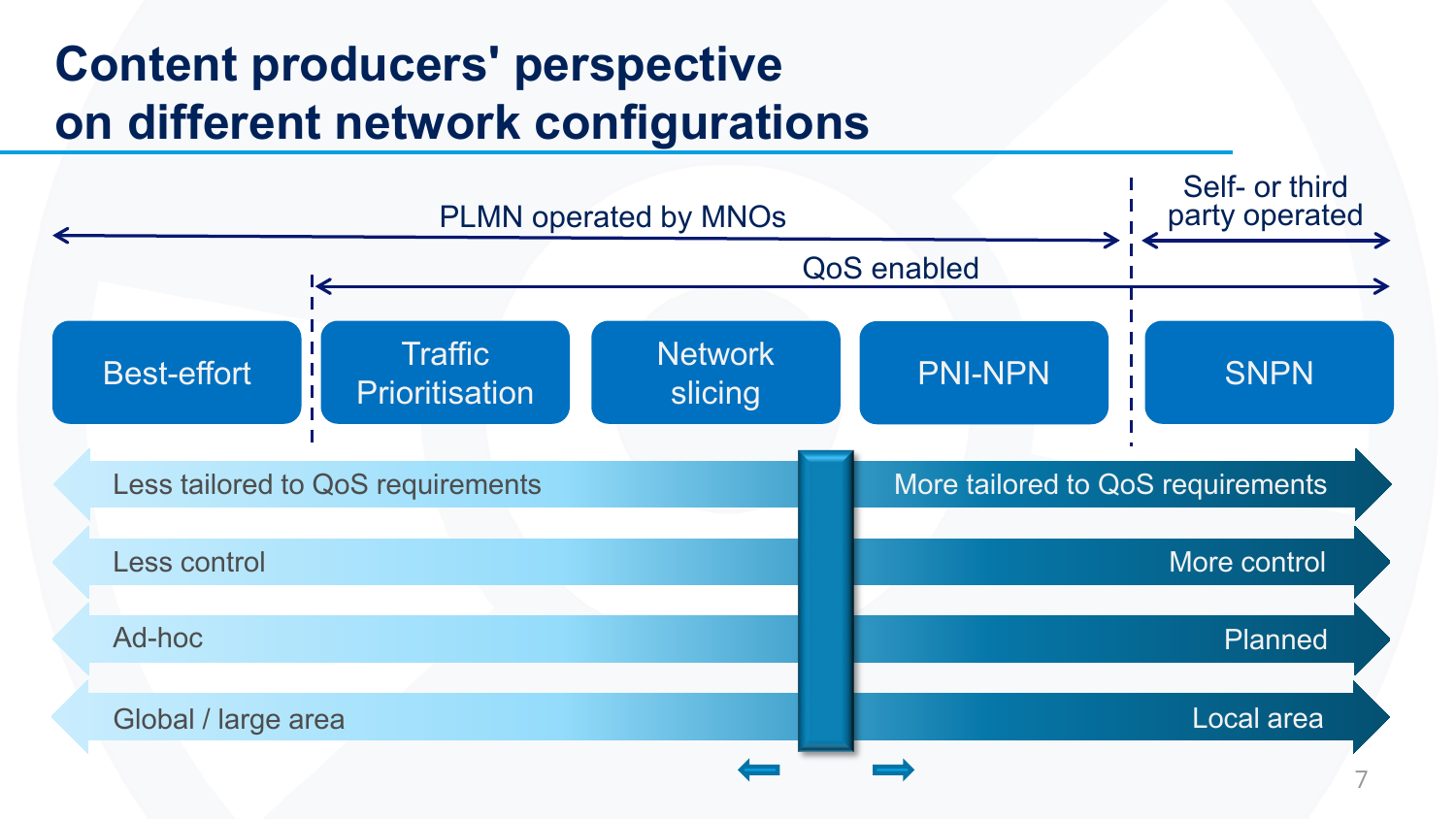### **Content producers' perspective on different network configurations**

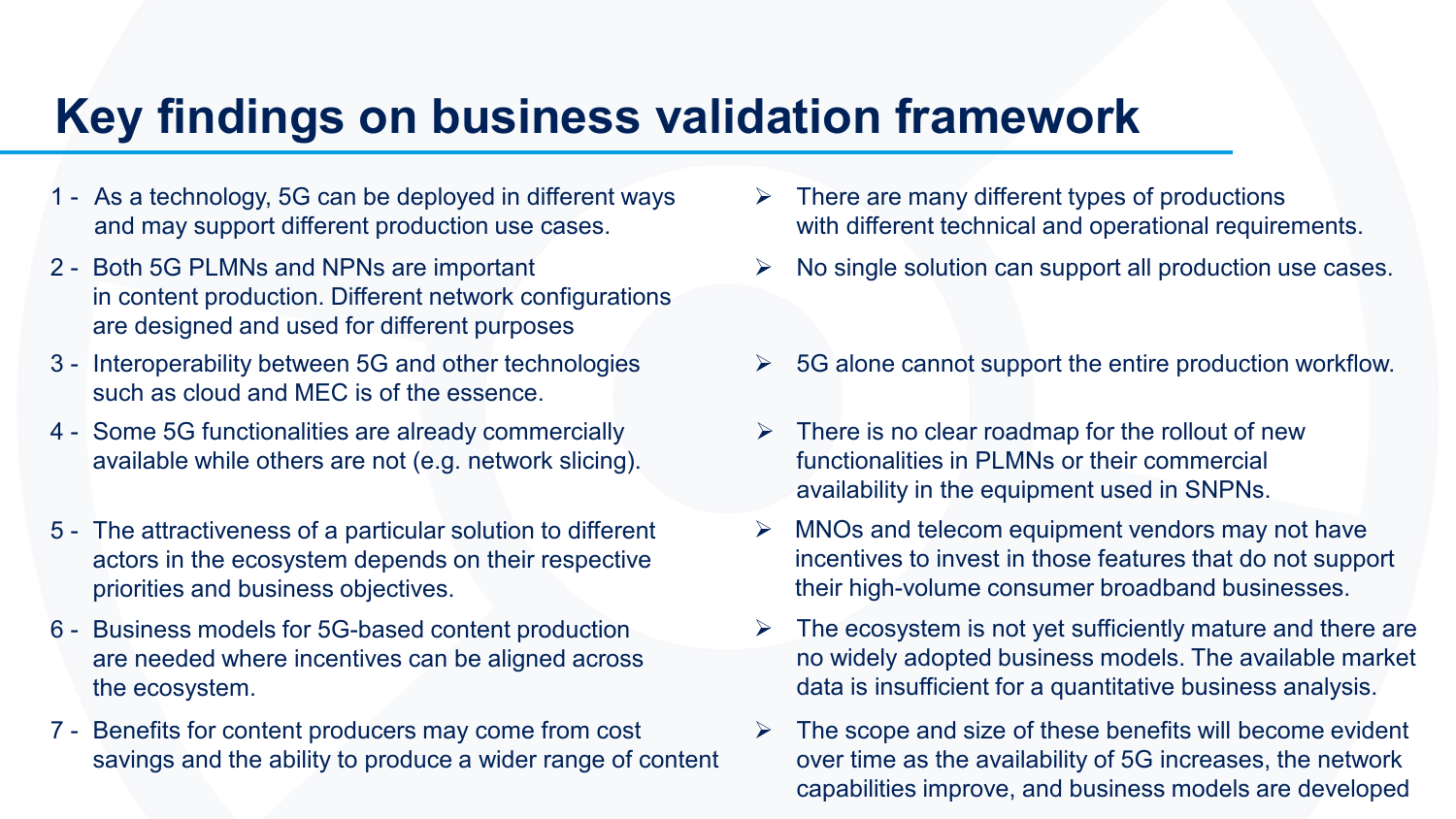### **Key findings on business validation framework**

- 1 As a technology, 5G can be deployed in different ways and may support different production use cases.
- in content production. Different network configurations are designed and used for different purposes
- 3 Interoperability between 5G and other technologies such as cloud and MEC is of the essence.
- 4 Some 5G functionalities are already commercially available while others are not (e.g. network slicing).
- 5 The attractiveness of a particular solution to different actors in the ecosystem depends on their respective priorities and business objectives.
- 6 Business models for 5G-based content production are needed where incentives can be aligned across the ecosystem.
- 7 Benefits for content producers may come from cost savings and the ability to produce a wider range of content
- $\triangleright$  There are many different types of productions with different technical and operational requirements.
- 2 Both 5G PLMNs and NPNs are important  $\rightarrow \mathbb{N}$  No single solution can support all production use cases.
	- 5G alone cannot support the entire production workflow.
	- $\triangleright$  There is no clear roadmap for the rollout of new functionalities in PLMNs or their commercial availability in the equipment used in SNPNs.
	- $\triangleright$  MNOs and telecom equipment vendors may not have incentives to invest in those features that do not support their high-volume consumer broadband businesses.
	- The ecosystem is not yet sufficiently mature and there are no widely adopted business models. The available market data is insufficient for a quantitative business analysis.
	- The scope and size of these benefits will become evident over time as the availability of 5G increases, the network capabilities improve, and business models are developed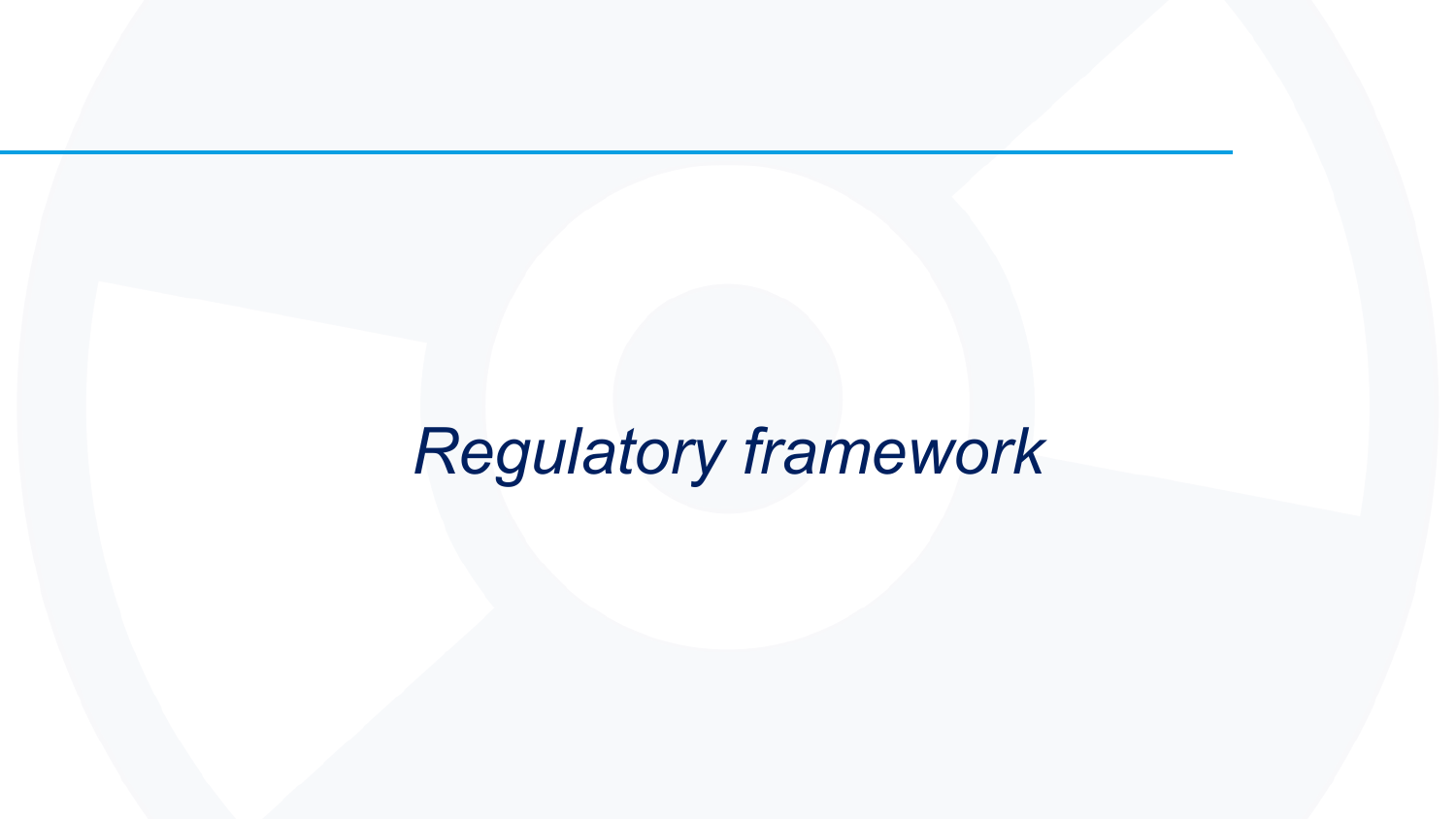## *Regulatory framework*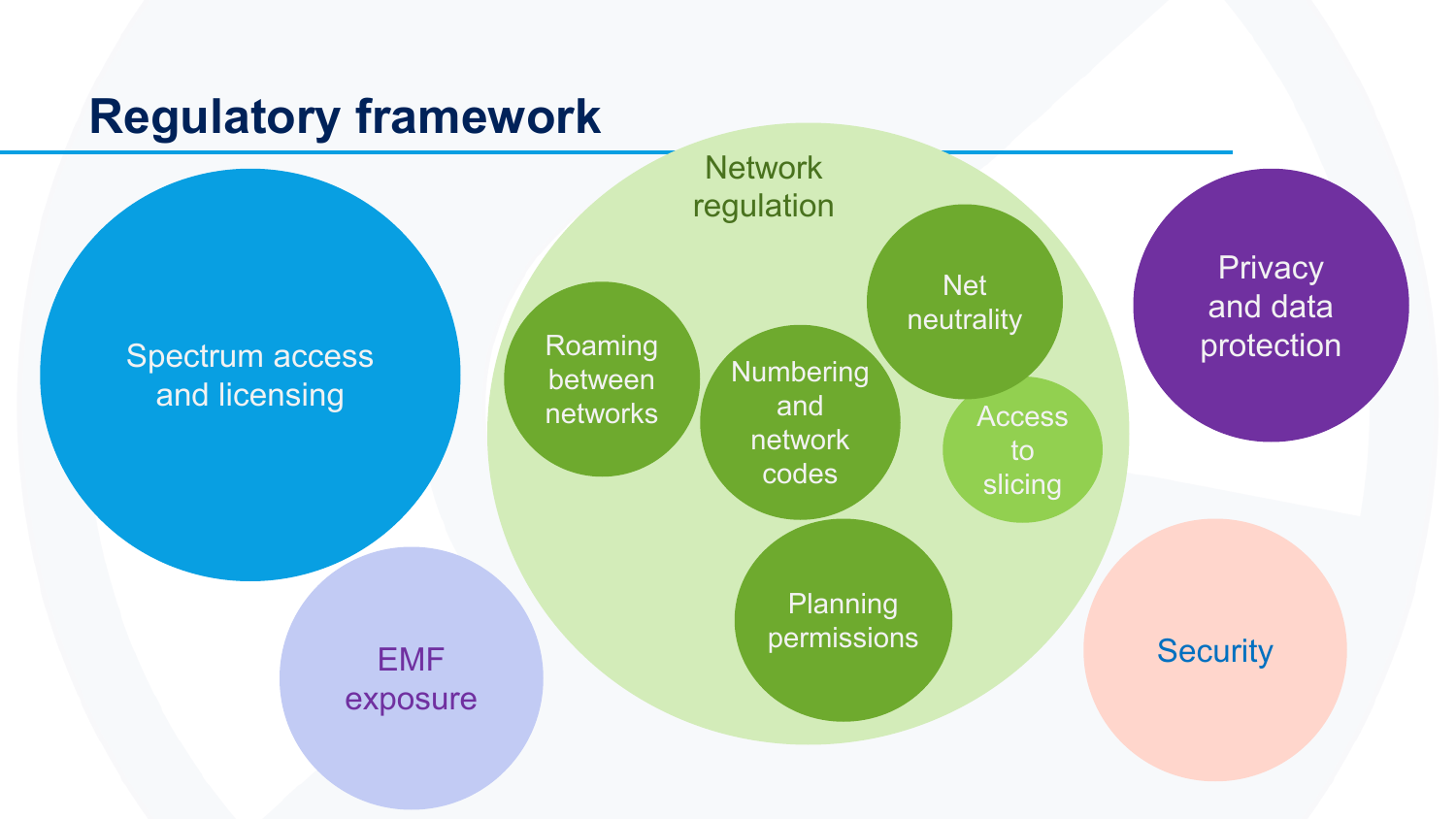### **Regulatory framework**

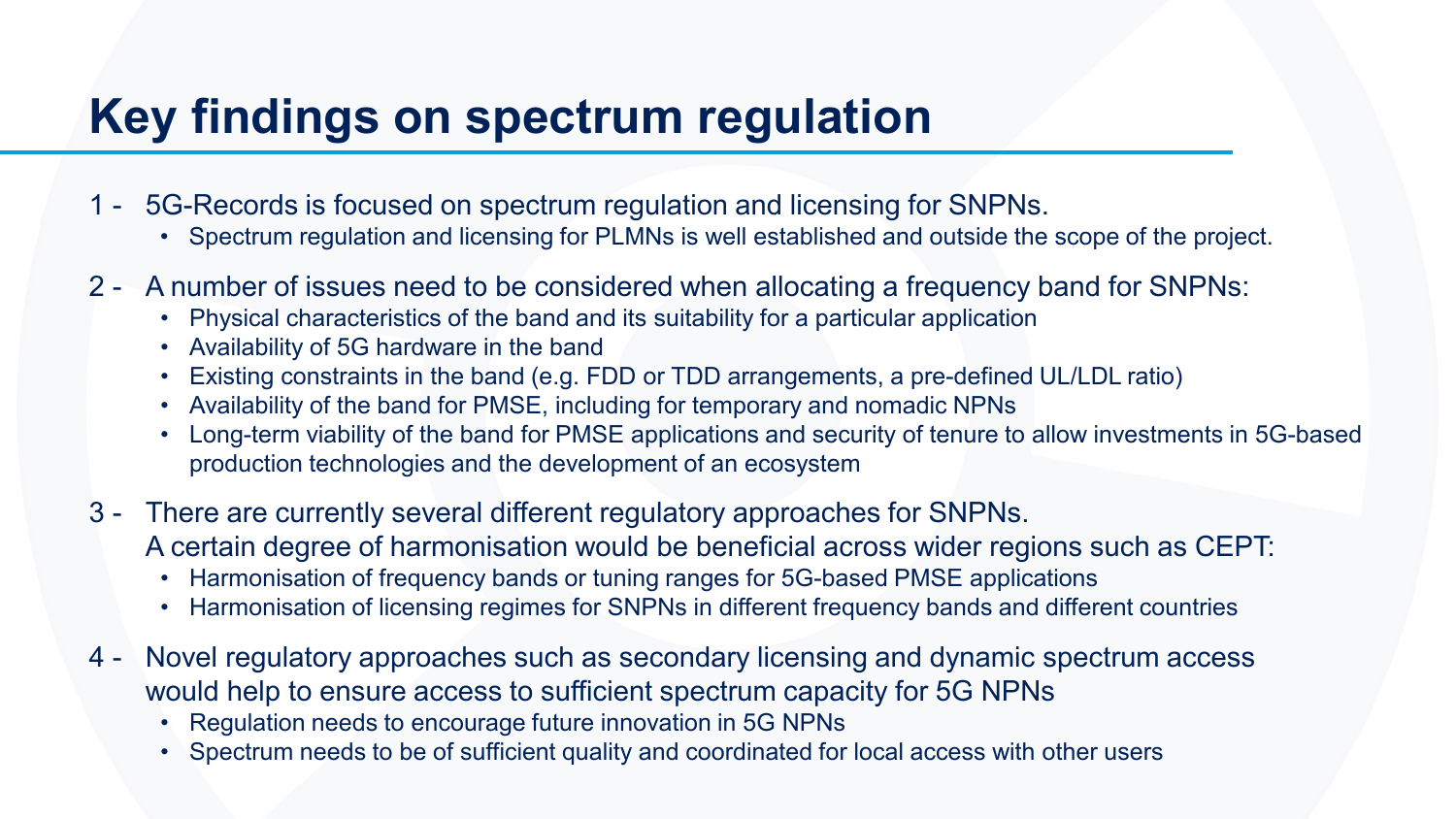### **Key findings on spectrum regulation**

- 1 5G-Records is focused on spectrum regulation and licensing for SNPNs.
	- Spectrum regulation and licensing for PLMNs is well established and outside the scope of the project.
- 2 A number of issues need to be considered when allocating a frequency band for SNPNs:
	- Physical characteristics of the band and its suitability for a particular application
	- Availability of 5G hardware in the band
	- Existing constraints in the band (e.g. FDD or TDD arrangements, a pre-defined UL/LDL ratio)
	- Availability of the band for PMSE, including for temporary and nomadic NPNs
	- Long-term viability of the band for PMSE applications and security of tenure to allow investments in 5G-based production technologies and the development of an ecosystem
- 3 There are currently several different regulatory approaches for SNPNs. A certain degree of harmonisation would be beneficial across wider regions such as CEPT:
	- Harmonisation of frequency bands or tuning ranges for 5G-based PMSE applications
	- Harmonisation of licensing regimes for SNPNs in different frequency bands and different countries
- 4 Novel regulatory approaches such as secondary licensing and dynamic spectrum access would help to ensure access to sufficient spectrum capacity for 5G NPNs
	- Regulation needs to encourage future innovation in 5G NPNs
	- Spectrum needs to be of sufficient quality and coordinated for local access with other users